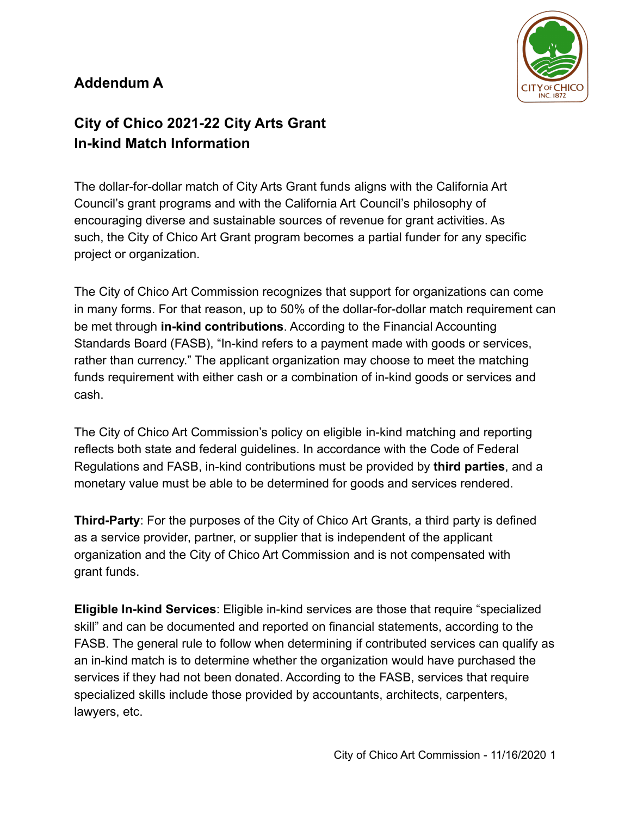## **Addendum A**



# **City of Chico 2021-22 City Arts Grant In-kind Match Information**

The dollar-for-dollar match of City Arts Grant funds aligns with the California Art Council's grant programs and with the California Art Council's philosophy of encouraging diverse and sustainable sources of revenue for grant activities. As such, the City of Chico Art Grant program becomes a partial funder for any specific project or organization.

The City of Chico Art Commission recognizes that support for organizations can come in many forms. For that reason, up to 50% of the dollar-for-dollar match requirement can be met through **in-kind contributions**. According to the Financial Accounting Standards Board (FASB), "In-kind refers to a payment made with goods or services, rather than currency." The applicant organization may choose to meet the matching funds requirement with either cash or a combination of in-kind goods or services and cash.

The City of Chico Art Commission's policy on eligible in-kind matching and reporting reflects both state and federal guidelines. In accordance with the Code of Federal Regulations and FASB, in-kind contributions must be provided by **third parties**, and a monetary value must be able to be determined for goods and services rendered.

**Third-Party**: For the purposes of the City of Chico Art Grants, a third party is defined as a service provider, partner, or supplier that is independent of the applicant organization and the City of Chico Art Commission and is not compensated with grant funds.

**Eligible In-kind Services**: Eligible in-kind services are those that require "specialized skill" and can be documented and reported on financial statements, according to the FASB. The general rule to follow when determining if contributed services can qualify as an in-kind match is to determine whether the organization would have purchased the services if they had not been donated. According to the FASB, services that require specialized skills include those provided by accountants, architects, carpenters, lawyers, etc.